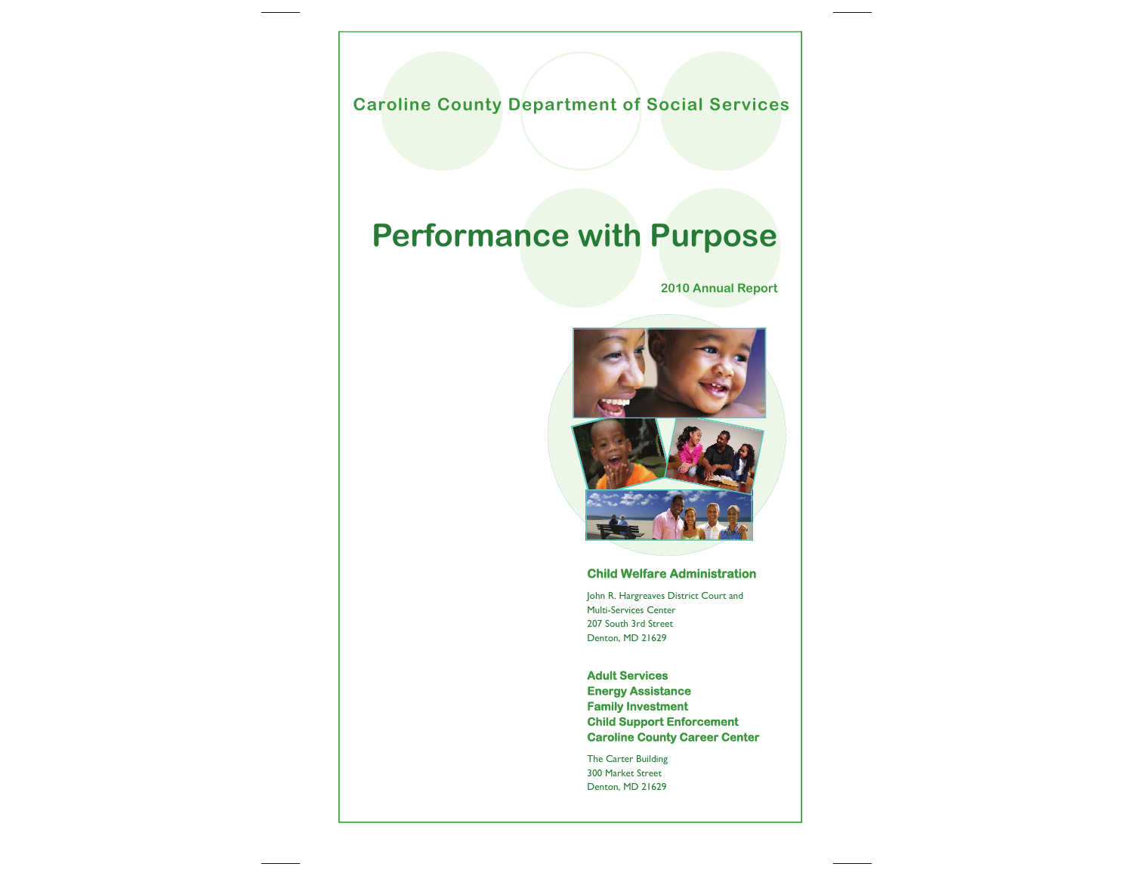

#### **Child Welfare Administration**

John R. Hargreaves District Court and Multi-Services Center 207 South 3rd Street Denton, MD 21629

**Adult Services Energy Assistance Family Investment Child Support Enforcement Caroline County Career Center** 

The Carter Building 300 Market Street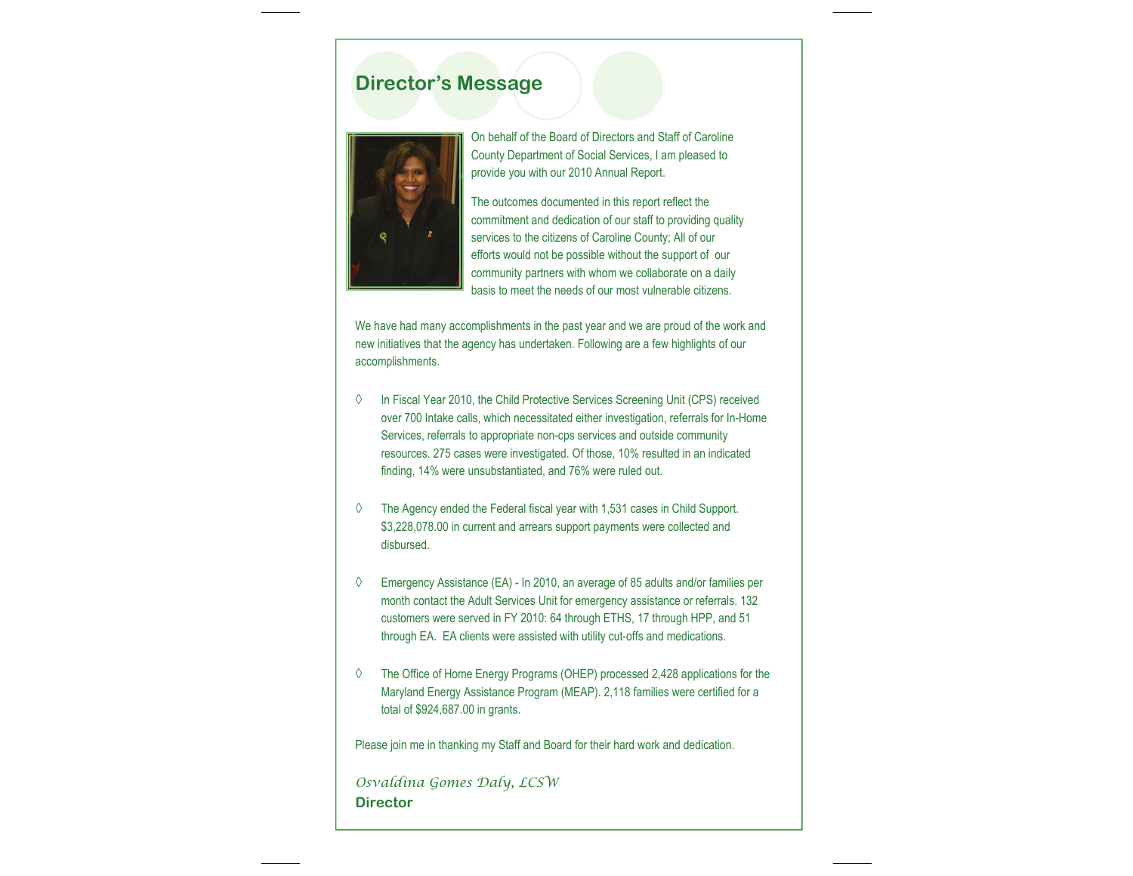### **Director's Message**



On behalf of the Board of Directors and Staff of Caroline County Department of Social Services, I am pleased to provide you with our 2010 Annual Report.

The outcomes documented in this report reflect the commitment and dedication of our staff to providing quality services to the citizens of Caroline County; All of our efforts would not be possible without the support of our community partners with whom we collaborate on a daily basis to meet the needs of our most vulnerable citizens.

We have had many accomplishments in the past year and we are proud of the work and new initiatives that the agency has undertaken. Following are a few highlights of our accomplishments.

- ◊ In Fiscal Year 2010, the Child Protective Services Screening Unit (CPS) received over 700 Intake calls, which necessitated either investigation, referrals for In-Home Services, referrals to appropriate non-cps services and outside community resources. 275 cases were investigated. Of those, 10% resulted in an indicated finding, 14% were unsubstantiated, and 76% were ruled out.
- ◊ The Agency ended the Federal fiscal year with 1,531 cases in Child Support. \$3,228,078.00 in current and arrears support payments were collected and disbursed.
- ◊ Emergency Assistance (EA) In 2010, an average of 85 adults and/or families per month contact the Adult Services Unit for emergency assistance or referrals. 132 customers were served in FY 2010: 64 through ETHS, 17 through HPP, and 51 through EA. EA clients were assisted with utility cut-offs and medications.
- ◊ The Office of Home Energy Programs (OHEP) processed 2,428 applications for the Maryland Energy Assistance Program (MEAP). 2,118 families were certified for a total of \$924,687.00 in grants.

Please join me in thanking my Staff and Board for their hard work and dedication.

*Osvaldina Gomes Daly, LCSW*  **Director**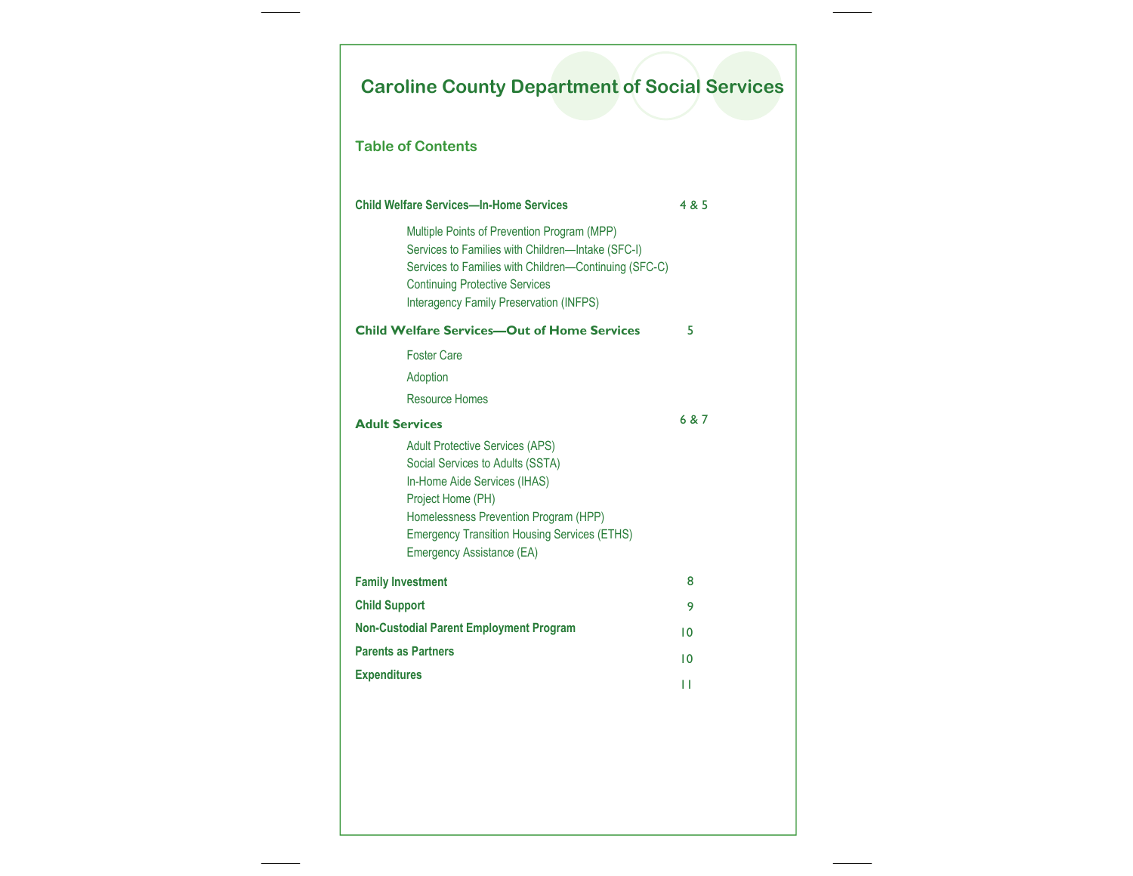# **Caroline County Department of Social Services**

#### **Table of Contents**

| <b>Child Welfare Services-In-Home Services</b>                                                                                                                                                                                                               | 4 & 5 |
|--------------------------------------------------------------------------------------------------------------------------------------------------------------------------------------------------------------------------------------------------------------|-------|
| Multiple Points of Prevention Program (MPP)<br>Services to Families with Children-Intake (SFC-I)<br>Services to Families with Children-Continuing (SFC-C)<br><b>Continuing Protective Services</b><br><b>Interagency Family Preservation (INFPS)</b>         |       |
| <b>Child Welfare Services-Out of Home Services</b>                                                                                                                                                                                                           | 5     |
| <b>Foster Care</b>                                                                                                                                                                                                                                           |       |
| Adoption                                                                                                                                                                                                                                                     |       |
| Resource Homes                                                                                                                                                                                                                                               |       |
| <b>Adult Services</b>                                                                                                                                                                                                                                        | 6 & 7 |
| <b>Adult Protective Services (APS)</b><br>Social Services to Adults (SSTA)<br>In-Home Aide Services (IHAS)<br>Project Home (PH)<br>Homelessness Prevention Program (HPP)<br><b>Emergency Transition Housing Services (ETHS)</b><br>Emergency Assistance (EA) |       |
| <b>Family Investment</b>                                                                                                                                                                                                                                     | 8     |
| <b>Child Support</b>                                                                                                                                                                                                                                         | 9     |
| <b>Non-Custodial Parent Employment Program</b>                                                                                                                                                                                                               | 10    |
| <b>Parents as Partners</b>                                                                                                                                                                                                                                   | 10    |
| <b>Expenditures</b>                                                                                                                                                                                                                                          | П     |
|                                                                                                                                                                                                                                                              |       |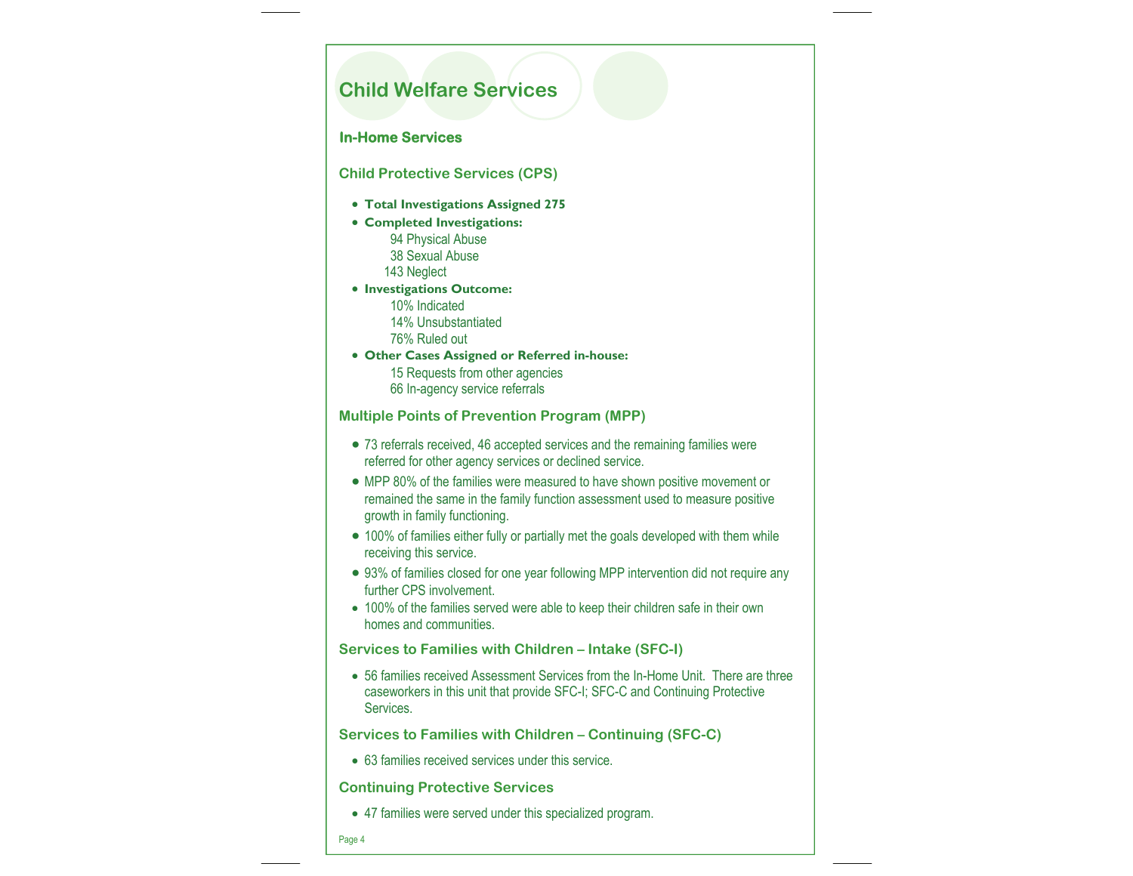### **Child Welfare Services**

#### **In-Home Services**

**Child Protective Services (CPS)** 

- **Total Investigations Assigned 275**
- **Completed Investigations:** 
	- 94 Physical Abuse 38 Sexual Abuse 143 Neglect
- **Investigations Outcome:** 
	- 10% Indicated
	- 14% Unsubstantiated
	- 76% Ruled out
- **Other Cases Assigned or Referred in-house:** 
	- 15 Requests from other agencies 66 In-agency service referrals

**Multiple Points of Prevention Program (MPP)** 

- 73 referrals received, 46 accepted services and the remaining families were referred for other agency services or declined service.
- MPP 80% of the families were measured to have shown positive movement or remained the same in the family function assessment used to measure positive growth in family functioning.
- 100% of families either fully or partially met the goals developed with them while receiving this service.
- 93% of families closed for one year following MPP intervention did not require any further CPS involvement.
- 100% of the families served were able to keep their children safe in their own homes and communities.

**Services to Families with Children – Intake (SFC-I)** 

• 56 families received Assessment Services from the In-Home Unit. There are three caseworkers in this unit that provide SFC-I; SFC-C and Continuing Protective Services.

**Services to Families with Children – Continuing (SFC-C)** 

• 63 families received services under this service.

#### **Continuing Protective Services**

• 47 families were served under this specialized program.

Page 4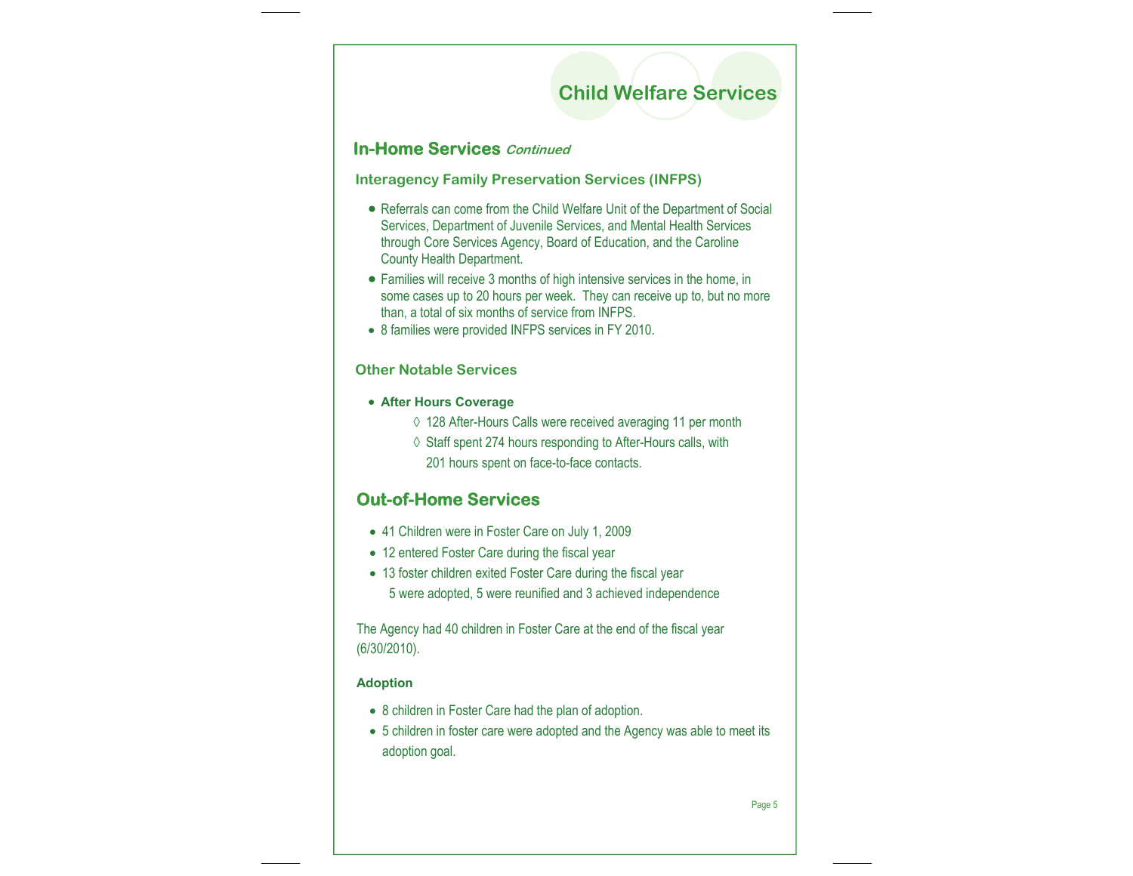## **Child Welfare Services**

### **In-Home Services Continued**

**Interagency Family Preservation Services (INFPS)** 

- Referrals can come from the Child Welfare Unit of the Department of Social Services, Department of Juvenile Services, and Mental Health Services through Core Services Agency, Board of Education, and the Caroline County Health Department.
- Families will receive 3 months of high intensive services in the home, in some cases up to 20 hours per week. They can receive up to, but no more than, a total of six months of service from INFPS.
- 8 families were provided INFPS services in FY 2010.

#### **Other Notable Services**

- **After Hours Coverage** 
	- ◊ 128 After-Hours Calls were received averaging 11 per month
	- ◊ Staff spent 274 hours responding to After-Hours calls, with 201 hours spent on face-to-face contacts.

### **Out-of-Home Services**

- 41 Children were in Foster Care on July 1, 2009
- 12 entered Foster Care during the fiscal year
- 13 foster children exited Foster Care during the fiscal year 5 were adopted, 5 were reunified and 3 achieved independence

The Agency had 40 children in Foster Care at the end of the fiscal year (6/30/2010).

#### **Adoption**

- 8 children in Foster Care had the plan of adoption.
- 5 children in foster care were adopted and the Agency was able to meet its adoption goal.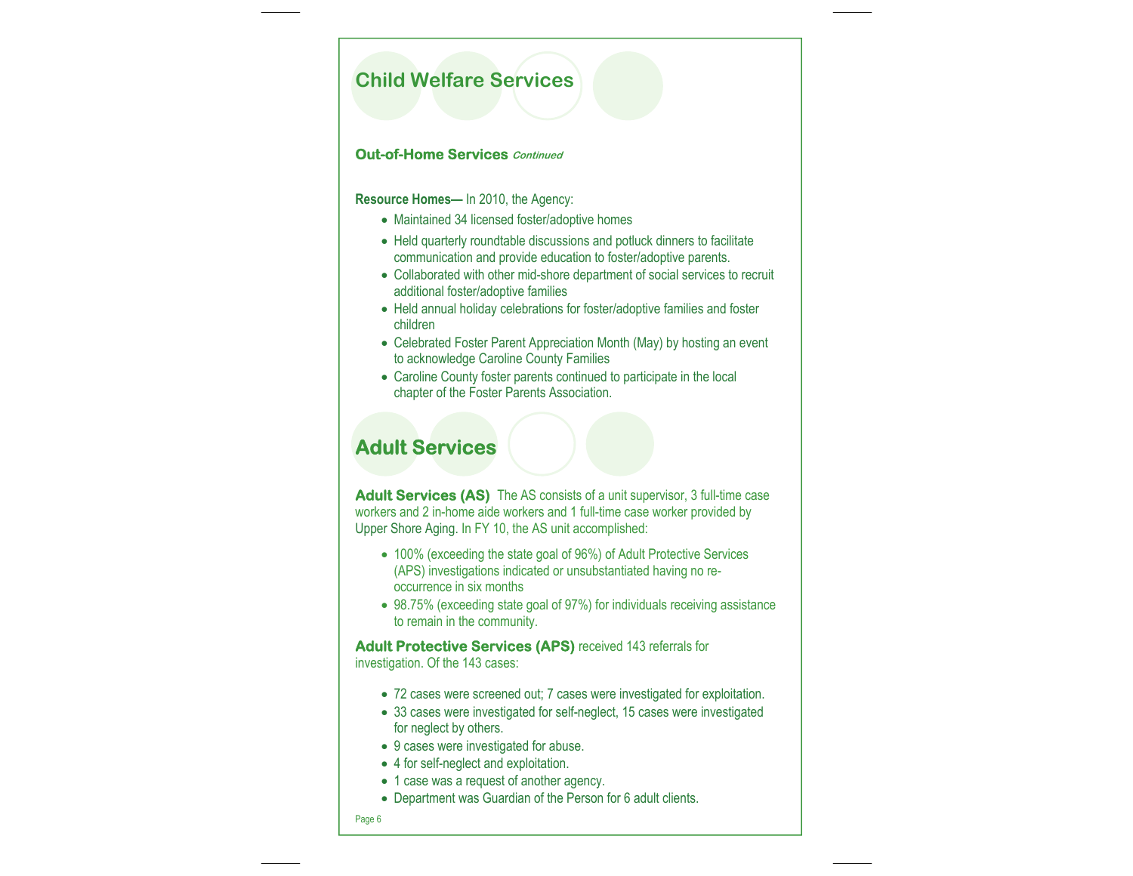### **Child Welfare Services**

#### **Out-of-Home Services Continued**

**Resource Homes—** In 2010, the Agency:

- Maintained 34 licensed foster/adoptive homes
- Held quarterly roundtable discussions and potluck dinners to facilitate communication and provide education to foster/adoptive parents.
- Collaborated with other mid-shore department of social services to recruit additional foster/adoptive families
- Held annual holiday celebrations for foster/adoptive families and foster children
- Celebrated Foster Parent Appreciation Month (May) by hosting an event to acknowledge Caroline County Families
- Caroline County foster parents continued to participate in the local chapter of the Foster Parents Association.

### **Adult Services**

**Adult Services (AS)** The AS consists of a unit supervisor, 3 full-time case workers and 2 in-home aide workers and 1 full-time case worker provided by Upper Shore Aging. In FY 10, the AS unit accomplished:

- 100% (exceeding the state goal of 96%) of Adult Protective Services (APS) investigations indicated or unsubstantiated having no reoccurrence in six months
- 98.75% (exceeding state goal of 97%) for individuals receiving assistance to remain in the community.

**Adult Protective Services (APS)** received 143 referrals for investigation. Of the 143 cases:

- 72 cases were screened out; 7 cases were investigated for exploitation.
- 33 cases were investigated for self-neglect, 15 cases were investigated for neglect by others.
- 9 cases were investigated for abuse.
- 4 for self-neglect and exploitation.
- 1 case was a request of another agency.
- Department was Guardian of the Person for 6 adult clients.
- Page 6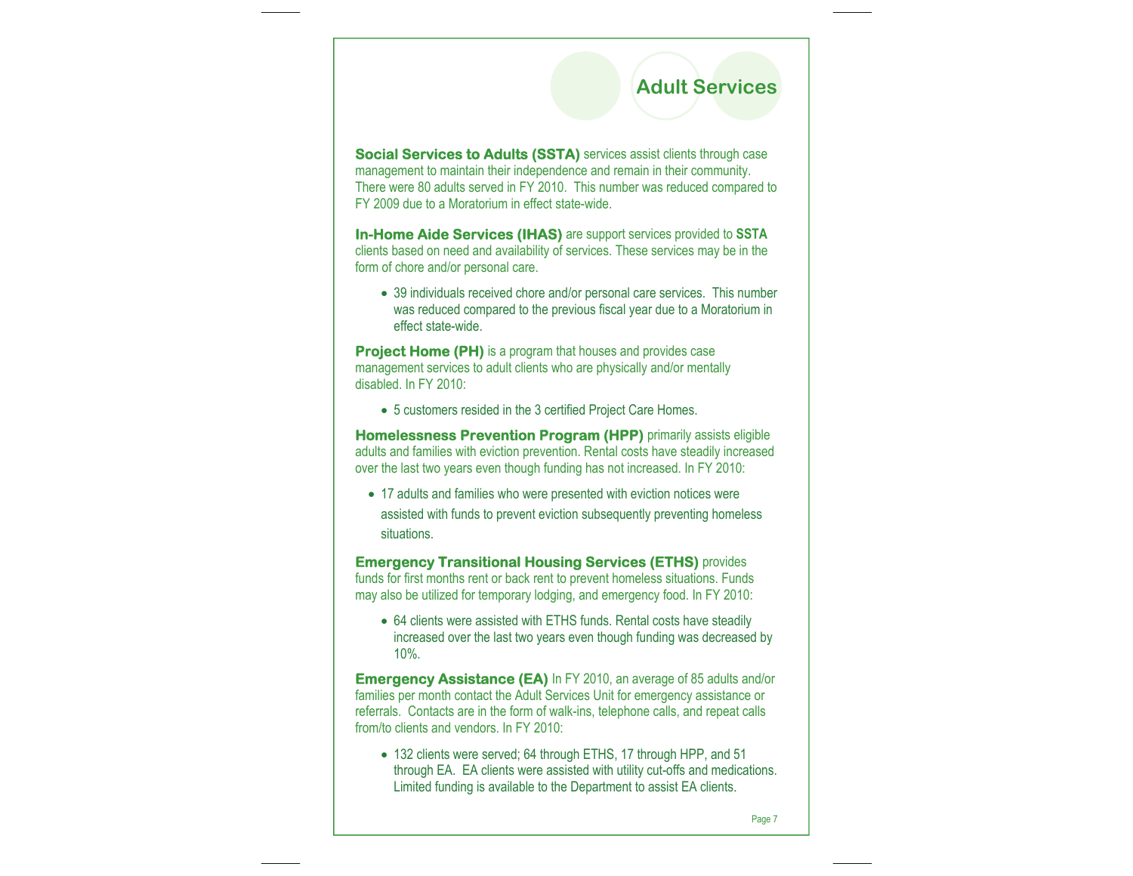## **Adult Services**

**Social Services to Adults (SSTA)** services assist clients through case management to maintain their independence and remain in their community. There were 80 adults served in FY 2010. This number was reduced compared to FY 2009 due to a Moratorium in effect state-wide.

**In-Home Aide Services (IHAS)** are support services provided to **SSTA**  clients based on need and availability of services. These services may be in the form of chore and/or personal care.

• 39 individuals received chore and/or personal care services. This number was reduced compared to the previous fiscal year due to a Moratorium in effect state-wide.

**Project Home (PH)** is a program that houses and provides case management services to adult clients who are physically and/or mentally disabled. In FY 2010:

• 5 customers resided in the 3 certified Project Care Homes.

**Homelessness Prevention Program (HPP)** primarily assists eligible adults and families with eviction prevention. Rental costs have steadily increased over the last two years even though funding has not increased. In FY 2010:

• 17 adults and families who were presented with eviction notices were assisted with funds to prevent eviction subsequently preventing homeless situations.

**Emergency Transitional Housing Services (ETHS)** provides funds for first months rent or back rent to prevent homeless situations. Funds may also be utilized for temporary lodging, and emergency food. In FY 2010:

• 64 clients were assisted with ETHS funds. Rental costs have steadily increased over the last two years even though funding was decreased by 10%.

**Emergency Assistance (EA)** In FY 2010, an average of 85 adults and/or families per month contact the Adult Services Unit for emergency assistance or referrals. Contacts are in the form of walk-ins, telephone calls, and repeat calls from/to clients and vendors. In FY 2010:

• 132 clients were served; 64 through ETHS, 17 through HPP, and 51 through EA. EA clients were assisted with utility cut-offs and medications. Limited funding is available to the Department to assist EA clients.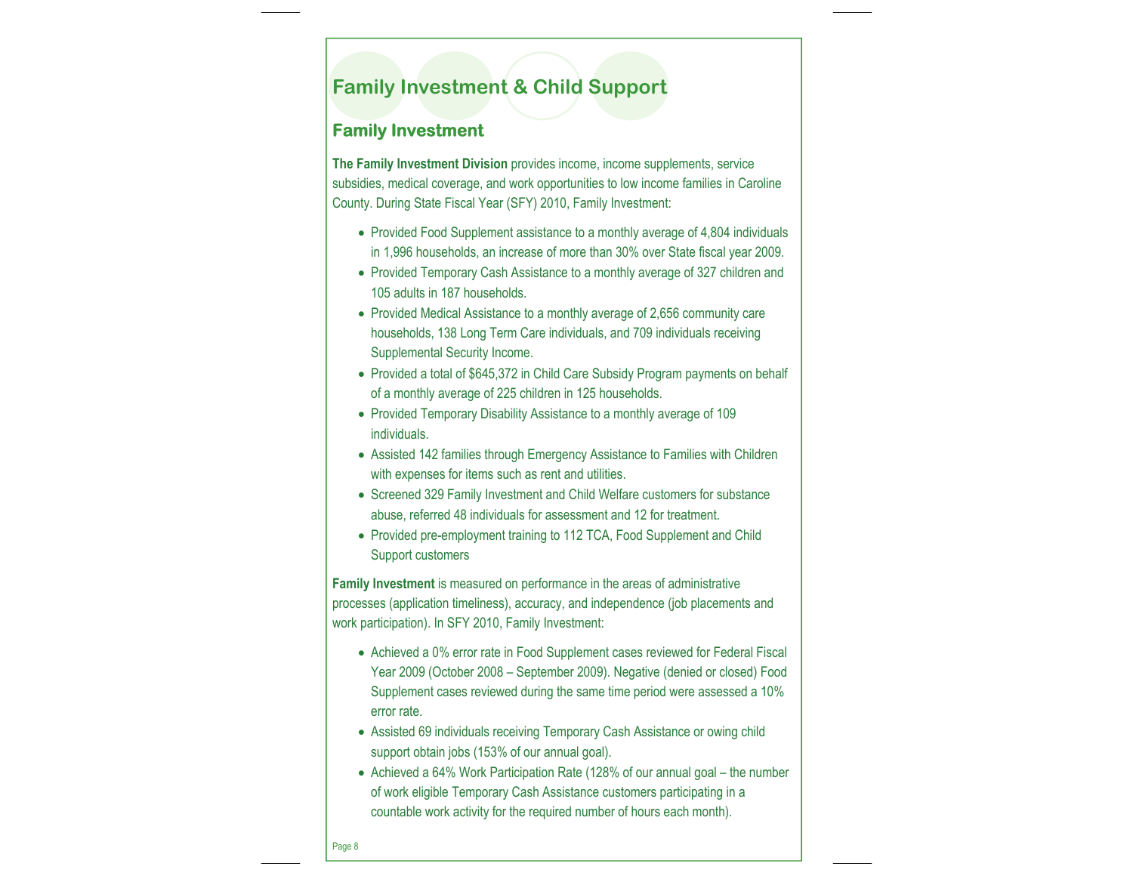### **Family Investment & Child Support**

### **Family Investment**

**The Family Investment Division** provides income, income supplements, service subsidies, medical coverage, and work opportunities to low income families in Caroline County. During State Fiscal Year (SFY) 2010, Family Investment:

- Provided Food Supplement assistance to a monthly average of 4,804 individuals in 1,996 households, an increase of more than 30% over State fiscal year 2009.
- Provided Temporary Cash Assistance to a monthly average of 327 children and 105 adults in 187 households.
- Provided Medical Assistance to a monthly average of 2,656 community care households, 138 Long Term Care individuals, and 709 individuals receiving Supplemental Security Income.
- Provided a total of \$645,372 in Child Care Subsidy Program payments on behalf of a monthly average of 225 children in 125 households.
- Provided Temporary Disability Assistance to a monthly average of 109 individuals.
- Assisted 142 families through Emergency Assistance to Families with Children with expenses for items such as rent and utilities.
- Screened 329 Family Investment and Child Welfare customers for substance abuse, referred 48 individuals for assessment and 12 for treatment.
- Provided pre-employment training to 112 TCA, Food Supplement and Child Support customers

**Family Investment** is measured on performance in the areas of administrative processes (application timeliness), accuracy, and independence (job placements and work participation). In SFY 2010, Family Investment:

- Achieved a 0% error rate in Food Supplement cases reviewed for Federal Fiscal Year 2009 (October 2008 – September 2009). Negative (denied or closed) Food Supplement cases reviewed during the same time period were assessed a 10% error rate.
- Assisted 69 individuals receiving Temporary Cash Assistance or owing child support obtain jobs (153% of our annual goal).
- Achieved a 64% Work Participation Rate (128% of our annual goal the number of work eligible Temporary Cash Assistance customers participating in a countable work activity for the required number of hours each month).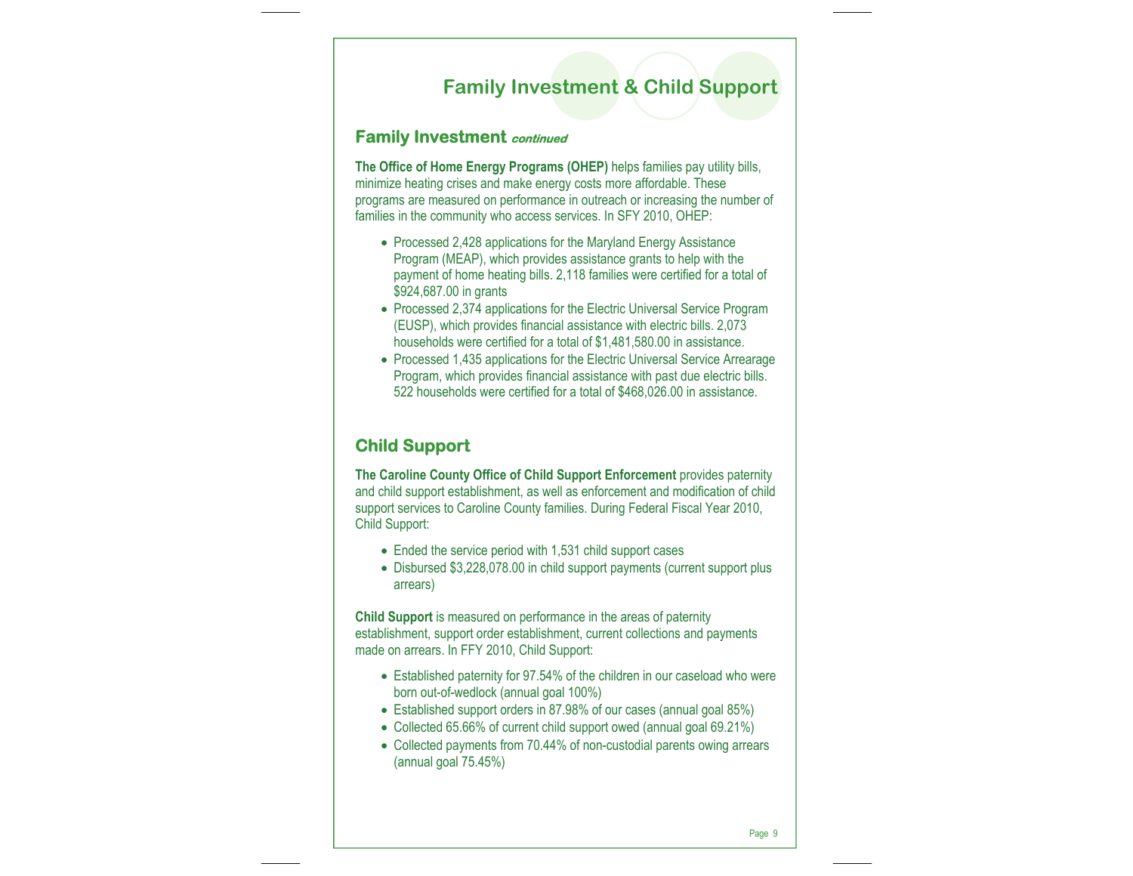### **Family Investment & Child Support**

### **Family Investment continued**

**The Office of Home Energy Programs (OHEP)** helps families pay utility bills, minimize heating crises and make energy costs more affordable. These programs are measured on performance in outreach or increasing the number of families in the community who access services. In SFY 2010, OHEP:

- Processed 2,428 applications for the Maryland Energy Assistance Program (MEAP), which provides assistance grants to help with the payment of home heating bills. 2,118 families were certified for a total of \$924,687.00 in grants
- Processed 2,374 applications for the Electric Universal Service Program (EUSP), which provides financial assistance with electric bills. 2,073 households were certified for a total of \$1,481,580.00 in assistance.
- Processed 1,435 applications for the Electric Universal Service Arrearage Program, which provides financial assistance with past due electric bills. 522 households were certified for a total of \$468,026.00 in assistance.

### **Child Support**

**The Caroline County Office of Child Support Enforcement** provides paternity and child support establishment, as well as enforcement and modification of child support services to Caroline County families. During Federal Fiscal Year 2010, Child Support:

- Ended the service period with 1,531 child support cases
- Disbursed \$3,228,078.00 in child support payments (current support plus arrears)

**Child Support** is measured on performance in the areas of paternity establishment, support order establishment, current collections and payments made on arrears. In FFY 2010, Child Support:

- Established paternity for 97.54% of the children in our caseload who were born out-of-wedlock (annual goal 100%)
- Established support orders in 87.98% of our cases (annual goal 85%)
- Collected 65.66% of current child support owed (annual goal 69.21%)
- Collected payments from 70.44% of non-custodial parents owing arrears (annual goal 75.45%)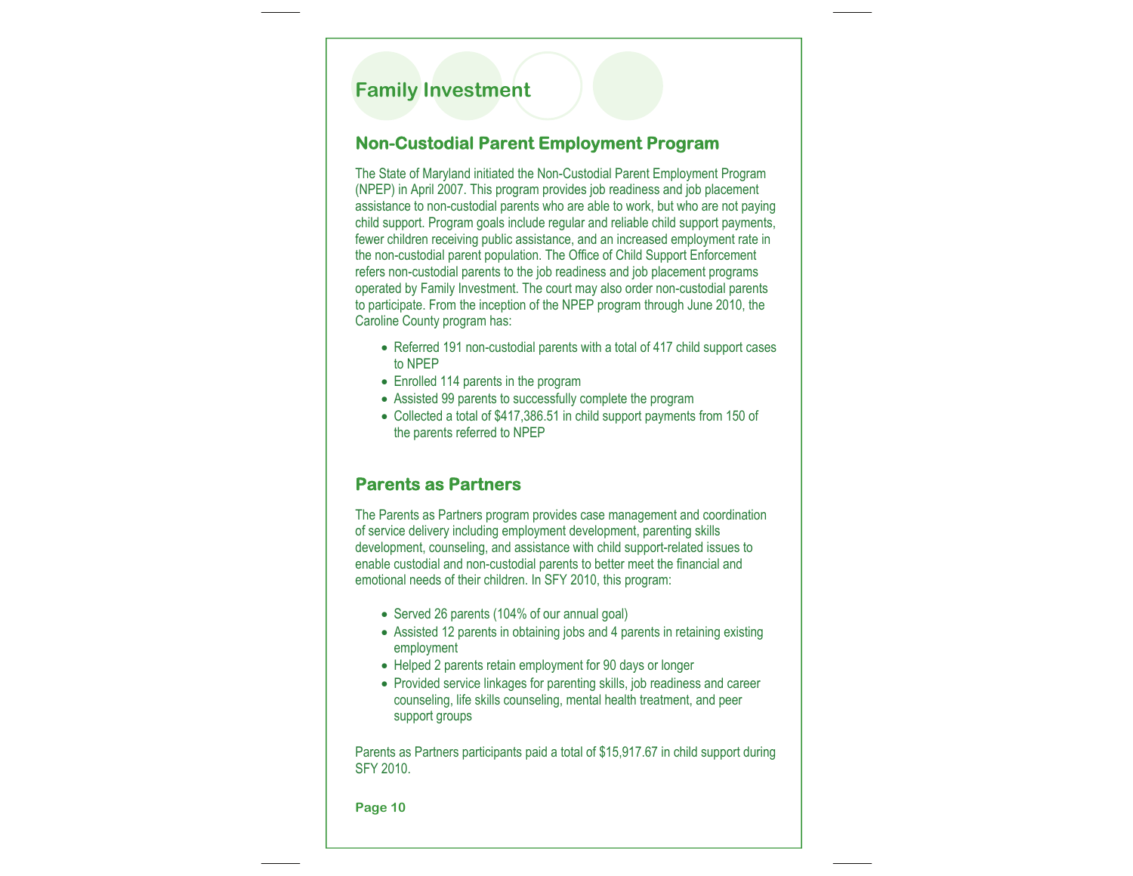### **Family Investment**

### **Non-Custodial Parent Employment Program**

The State of Maryland initiated the Non-Custodial Parent Employment Program (NPEP) in April 2007. This program provides job readiness and job placement assistance to non-custodial parents who are able to work, but who are not paying child support. Program goals include regular and reliable child support payments, fewer children receiving public assistance, and an increased employment rate in the non-custodial parent population. The Office of Child Support Enforcement refers non-custodial parents to the job readiness and job placement programs operated by Family Investment. The court may also order non-custodial parents to participate. From the inception of the NPEP program through June 2010, the Caroline County program has:

- Referred 191 non-custodial parents with a total of 417 child support cases to NPEP
- Enrolled 114 parents in the program
- Assisted 99 parents to successfully complete the program
- Collected a total of \$417,386.51 in child support payments from 150 of the parents referred to NPEP

### **Parents as Partners**

The Parents as Partners program provides case management and coordination of service delivery including employment development, parenting skills development, counseling, and assistance with child support-related issues to enable custodial and non-custodial parents to better meet the financial and emotional needs of their children. In SFY 2010, this program:

- Served 26 parents (104% of our annual goal)
- Assisted 12 parents in obtaining jobs and 4 parents in retaining existing employment
- Helped 2 parents retain employment for 90 days or longer
- Provided service linkages for parenting skills, job readiness and career counseling, life skills counseling, mental health treatment, and peer support groups

Parents as Partners participants paid a total of \$15,917.67 in child support during SFY 2010.

**Page 10**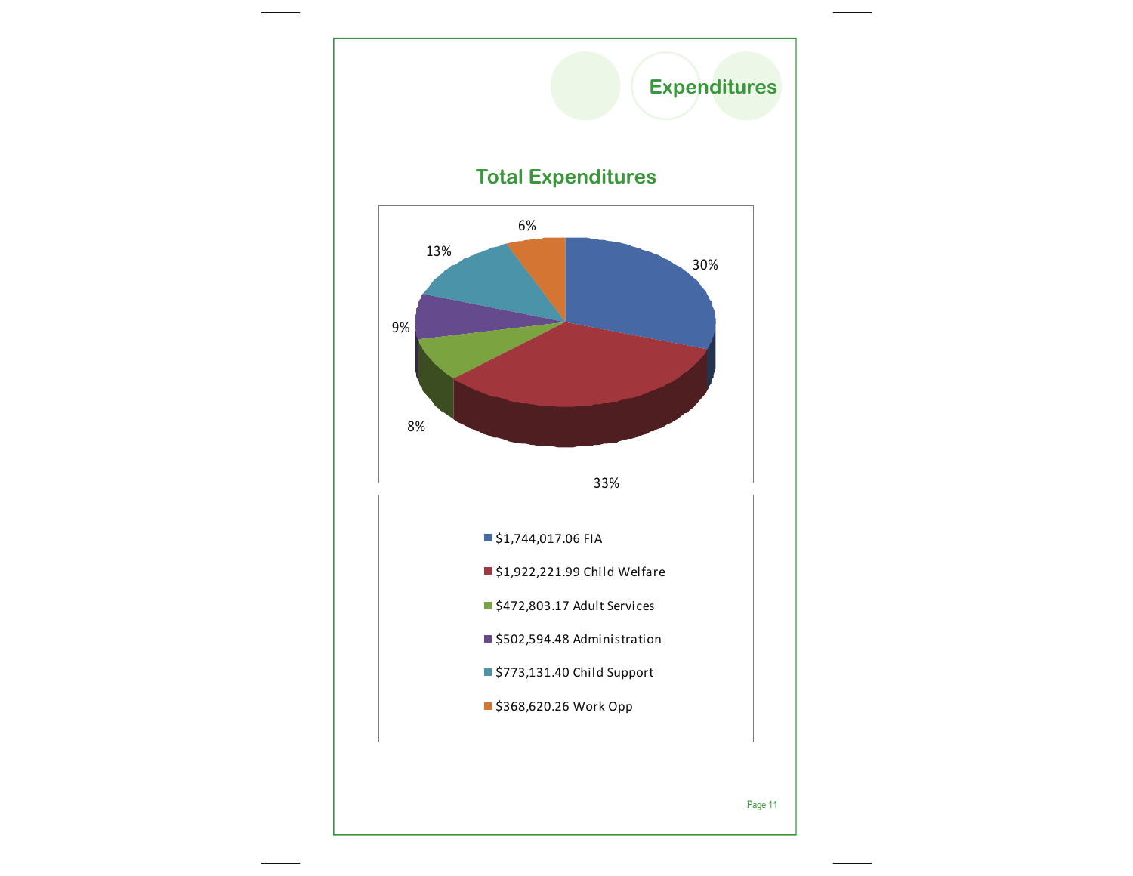